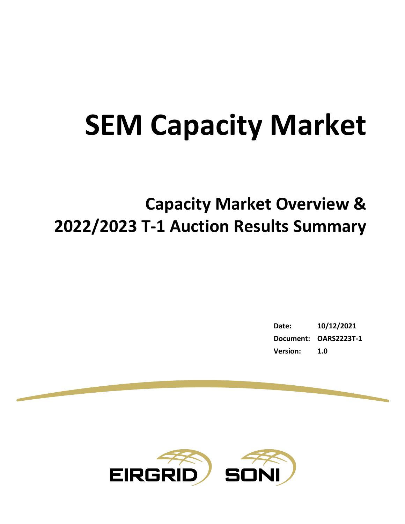# **SEM Capacity Market**

# **Capacity Market Overview & 2022/2023 T-1 Auction Results Summary**

| Date:           | 10/12/2021            |
|-----------------|-----------------------|
|                 | Document: OARS2223T-1 |
| <b>Version:</b> | 1.0                   |

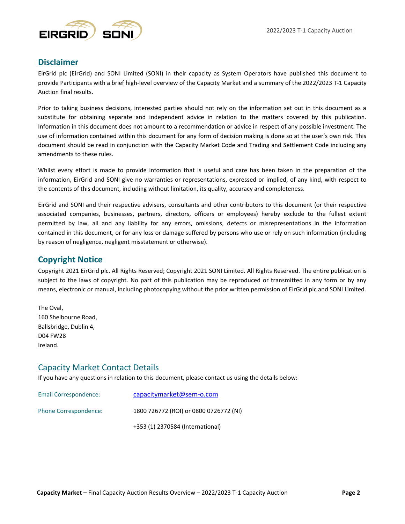

### **Disclaimer**

EirGrid plc (EirGrid) and SONI Limited (SONI) in their capacity as System Operators have published this document to provide Participants with a brief high-level overview of the Capacity Market and a summary of the 2022/2023 T-1 Capacity Auction final results.

Prior to taking business decisions, interested parties should not rely on the information set out in this document as a substitute for obtaining separate and independent advice in relation to the matters covered by this publication. Information in this document does not amount to a recommendation or advice in respect of any possible investment. The use of information contained within this document for any form of decision making is done so at the user's own risk. This document should be read in conjunction with the Capacity Market Code and Trading and Settlement Code including any amendments to these rules.

Whilst every effort is made to provide information that is useful and care has been taken in the preparation of the information, EirGrid and SONI give no warranties or representations, expressed or implied, of any kind, with respect to the contents of this document, including without limitation, its quality, accuracy and completeness.

EirGrid and SONI and their respective advisers, consultants and other contributors to this document (or their respective associated companies, businesses, partners, directors, officers or employees) hereby exclude to the fullest extent permitted by law, all and any liability for any errors, omissions, defects or misrepresentations in the information contained in this document, or for any loss or damage suffered by persons who use or rely on such information (including by reason of negligence, negligent misstatement or otherwise).

#### **Copyright Notice**

Copyright 2021 EirGrid plc. All Rights Reserved; Copyright 2021 SONI Limited. All Rights Reserved. The entire publication is subject to the laws of copyright. No part of this publication may be reproduced or transmitted in any form or by any means, electronic or manual, including photocopying without the prior written permission of EirGrid plc and SONI Limited.

The Oval, 160 Shelbourne Road, Ballsbridge, Dublin 4, D04 FW28 Ireland.

#### Capacity Market Contact Details

If you have any questions in relation to this document, please contact us using the details below:

| Email Correspondence: | capacitymarket@sem-o.com               |
|-----------------------|----------------------------------------|
| Phone Correspondence: | 1800 726772 (ROI) or 0800 0726772 (NI) |
|                       | +353 (1) 2370584 (International)       |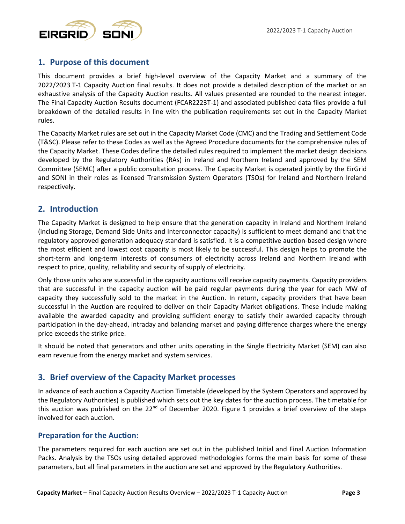

# **1. Purpose of this document**

This document provides a brief high-level overview of the Capacity Market and a summary of the 2022/2023 T-1 Capacity Auction final results. It does not provide a detailed description of the market or an exhaustive analysis of the Capacity Auction results. All values presented are rounded to the nearest integer. The Final Capacity Auction Results document (FCAR2223T-1) and associated published data files provide a full breakdown of the detailed results in line with the publication requirements set out in the Capacity Market rules.

The Capacity Market rules are set out in the Capacity Market Code (CMC) and the Trading and Settlement Code (T&SC). Please refer to these Codes as well as the Agreed Procedure documents for the comprehensive rules of the Capacity Market. These Codes define the detailed rules required to implement the market design decisions developed by the Regulatory Authorities (RAs) in Ireland and Northern Ireland and approved by the SEM Committee (SEMC) after a public consultation process. The Capacity Market is operated jointly by the EirGrid and SONI in their roles as licensed Transmission System Operators (TSOs) for Ireland and Northern Ireland respectively.

# **2. Introduction**

The Capacity Market is designed to help ensure that the generation capacity in Ireland and Northern Ireland (including Storage, Demand Side Units and Interconnector capacity) is sufficient to meet demand and that the regulatory approved generation adequacy standard is satisfied. It is a competitive auction-based design where the most efficient and lowest cost capacity is most likely to be successful. This design helps to promote the short-term and long-term interests of consumers of electricity across Ireland and Northern Ireland with respect to price, quality, reliability and security of supply of electricity.

Only those units who are successful in the capacity auctions will receive capacity payments. Capacity providers that are successful in the capacity auction will be paid regular payments during the year for each MW of capacity they successfully sold to the market in the Auction. In return, capacity providers that have been successful in the Auction are required to deliver on their Capacity Market obligations. These include making available the awarded capacity and providing sufficient energy to satisfy their awarded capacity through participation in the day-ahead, intraday and balancing market and paying difference charges where the energy price exceeds the strike price.

It should be noted that generators and other units operating in the Single Electricity Market (SEM) can also earn revenue from the energy market and system services.

# **3. Brief overview of the Capacity Market processes**

In advance of each auction a Capacity Auction Timetable (developed by the System Operators and approved by the Regulatory Authorities) is published which sets out the key dates for the auction process. The timetable for this auction was published on the  $22^{nd}$  of December 2020. Figure 1 provides a brief overview of the steps involved for each auction.

#### **Preparation for the Auction:**

The parameters required for each auction are set out in the published Initial and Final Auction Information Packs. Analysis by the TSOs using detailed approved methodologies forms the main basis for some of these parameters, but all final parameters in the auction are set and approved by the Regulatory Authorities.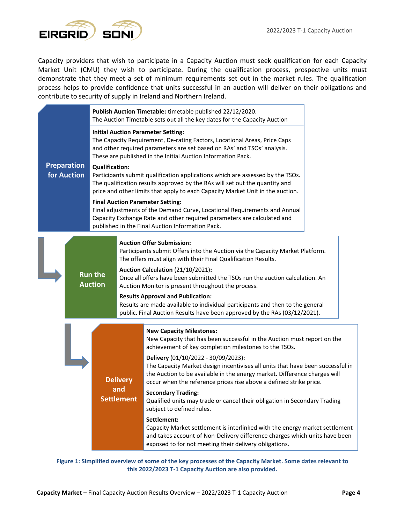

Capacity providers that wish to participate in a Capacity Auction must seek qualification for each Capacity Market Unit (CMU) they wish to participate. During the qualification process, prospective units must demonstrate that they meet a set of minimum requirements set out in the market rules. The qualification process helps to provide confidence that units successful in an auction will deliver on their obligations and contribute to security of supply in Ireland and Northern Ireland.

|                                                                                                                                                                                                                                                                                                                                                                                                                                                                                                                                | Publish Auction Timetable: timetable published 22/12/2020.<br>The Auction Timetable sets out all the key dates for the Capacity Auction |  |                                                                                                                                                                                                                                                                                                                                                                           |  |  |  |
|--------------------------------------------------------------------------------------------------------------------------------------------------------------------------------------------------------------------------------------------------------------------------------------------------------------------------------------------------------------------------------------------------------------------------------------------------------------------------------------------------------------------------------|-----------------------------------------------------------------------------------------------------------------------------------------|--|---------------------------------------------------------------------------------------------------------------------------------------------------------------------------------------------------------------------------------------------------------------------------------------------------------------------------------------------------------------------------|--|--|--|
|                                                                                                                                                                                                                                                                                                                                                                                                                                                                                                                                |                                                                                                                                         |  |                                                                                                                                                                                                                                                                                                                                                                           |  |  |  |
| <b>Preparation</b><br><b>Qualification:</b><br>for Auction<br>Participants submit qualification applications which are assessed by the TSOs.<br>The qualification results approved by the RAs will set out the quantity and<br>price and other limits that apply to each Capacity Market Unit in the auction.                                                                                                                                                                                                                  |                                                                                                                                         |  |                                                                                                                                                                                                                                                                                                                                                                           |  |  |  |
|                                                                                                                                                                                                                                                                                                                                                                                                                                                                                                                                |                                                                                                                                         |  | <b>Final Auction Parameter Setting:</b><br>Final adjustments of the Demand Curve, Locational Requirements and Annual<br>Capacity Exchange Rate and other required parameters are calculated and<br>published in the Final Auction Information Pack.                                                                                                                       |  |  |  |
| <b>Auction Offer Submission:</b><br>Participants submit Offers into the Auction via the Capacity Market Platform.<br>The offers must align with their Final Qualification Results.<br>Auction Calculation (21/10/2021):<br><b>Run the</b><br>Once all offers have been submitted the TSOs run the auction calculation. An<br><b>Auction</b><br>Auction Monitor is present throughout the process.<br><b>Results Approval and Publication:</b><br>Results are made available to individual participants and then to the general |                                                                                                                                         |  |                                                                                                                                                                                                                                                                                                                                                                           |  |  |  |
|                                                                                                                                                                                                                                                                                                                                                                                                                                                                                                                                |                                                                                                                                         |  | public. Final Auction Results have been approved by the RAs (03/12/2021).<br><b>New Capacity Milestones:</b><br>New Capacity that has been successful in the Auction must report on the<br>achievement of key completion milestones to the TSOs.<br>Delivery (01/10/2022 - 30/09/2023):<br>The Capacity Market design incentivises all units that have been successful in |  |  |  |
| <b>Delivery</b><br>and<br><b>Settlement</b>                                                                                                                                                                                                                                                                                                                                                                                                                                                                                    |                                                                                                                                         |  | the Auction to be available in the energy market. Difference charges will<br>occur when the reference prices rise above a defined strike price.<br><b>Secondary Trading:</b><br>Qualified units may trade or cancel their obligation in Secondary Trading<br>subject to defined rules.                                                                                    |  |  |  |
|                                                                                                                                                                                                                                                                                                                                                                                                                                                                                                                                |                                                                                                                                         |  | Settlement:<br>Capacity Market settlement is interlinked with the energy market settlement<br>and takes account of Non-Delivery difference charges which units have been<br>exposed to for not meeting their delivery obligations.                                                                                                                                        |  |  |  |

**Figure 1: Simplified overview of some of the key processes of the Capacity Market. Some dates relevant to this 2022/2023 T-1 Capacity Auction are also provided.**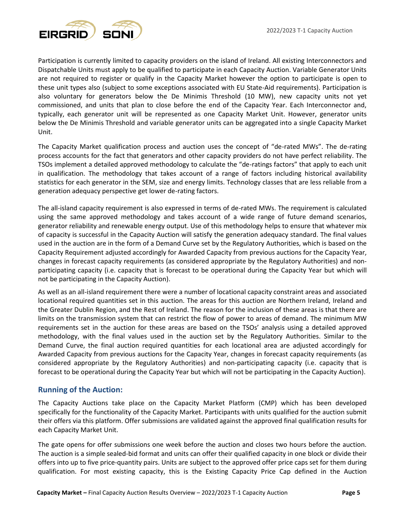

Participation is currently limited to capacity providers on the island of Ireland. All existing Interconnectors and Dispatchable Units must apply to be qualified to participate in each Capacity Auction. Variable Generator Units are not required to register or qualify in the Capacity Market however the option to participate is open to these unit types also (subject to some exceptions associated with EU State-Aid requirements). Participation is also voluntary for generators below the De Minimis Threshold (10 MW), new capacity units not yet commissioned, and units that plan to close before the end of the Capacity Year. Each Interconnector and, typically, each generator unit will be represented as one Capacity Market Unit. However, generator units below the De Minimis Threshold and variable generator units can be aggregated into a single Capacity Market Unit.

The Capacity Market qualification process and auction uses the concept of "de-rated MWs". The de-rating process accounts for the fact that generators and other capacity providers do not have perfect reliability. The TSOs implement a detailed approved methodology to calculate the "de-ratings factors" that apply to each unit in qualification. The methodology that takes account of a range of factors including historical availability statistics for each generator in the SEM, size and energy limits. Technology classes that are less reliable from a generation adequacy perspective get lower de-rating factors.

The all-island capacity requirement is also expressed in terms of de-rated MWs. The requirement is calculated using the same approved methodology and takes account of a wide range of future demand scenarios, generator reliability and renewable energy output. Use of this methodology helps to ensure that whatever mix of capacity is successful in the Capacity Auction will satisfy the generation adequacy standard. The final values used in the auction are in the form of a Demand Curve set by the Regulatory Authorities, which is based on the Capacity Requirement adjusted accordingly for Awarded Capacity from previous auctions for the Capacity Year, changes in forecast capacity requirements (as considered appropriate by the Regulatory Authorities) and nonparticipating capacity (i.e. capacity that is forecast to be operational during the Capacity Year but which will not be participating in the Capacity Auction).

As well as an all-island requirement there were a number of locational capacity constraint areas and associated locational required quantities set in this auction. The areas for this auction are Northern Ireland, Ireland and the Greater Dublin Region, and the Rest of Ireland. The reason for the inclusion of these areas is that there are limits on the transmission system that can restrict the flow of power to areas of demand. The minimum MW requirements set in the auction for these areas are based on the TSOs' analysis using a detailed approved methodology, with the final values used in the auction set by the Regulatory Authorities. Similar to the Demand Curve, the final auction required quantities for each locational area are adjusted accordingly for Awarded Capacity from previous auctions for the Capacity Year, changes in forecast capacity requirements (as considered appropriate by the Regulatory Authorities) and non-participating capacity (i.e. capacity that is forecast to be operational during the Capacity Year but which will not be participating in the Capacity Auction).

#### **Running of the Auction:**

The Capacity Auctions take place on the Capacity Market Platform (CMP) which has been developed specifically for the functionality of the Capacity Market. Participants with units qualified for the auction submit their offers via this platform. Offer submissions are validated against the approved final qualification results for each Capacity Market Unit.

The gate opens for offer submissions one week before the auction and closes two hours before the auction. The auction is a simple sealed-bid format and units can offer their qualified capacity in one block or divide their offers into up to five price-quantity pairs. Units are subject to the approved offer price caps set for them during qualification. For most existing capacity, this is the Existing Capacity Price Cap defined in the Auction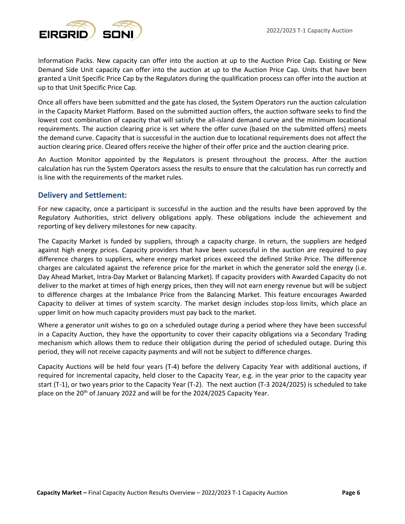

Information Packs. New capacity can offer into the auction at up to the Auction Price Cap. Existing or New Demand Side Unit capacity can offer into the auction at up to the Auction Price Cap. Units that have been granted a Unit Specific Price Cap by the Regulators during the qualification process can offer into the auction at up to that Unit Specific Price Cap.

Once all offers have been submitted and the gate has closed, the System Operators run the auction calculation in the Capacity Market Platform. Based on the submitted auction offers, the auction software seeks to find the lowest cost combination of capacity that will satisfy the all-island demand curve and the minimum locational requirements. The auction clearing price is set where the offer curve (based on the submitted offers) meets the demand curve. Capacity that is successful in the auction due to locational requirements does not affect the auction clearing price. Cleared offers receive the higher of their offer price and the auction clearing price.

An Auction Monitor appointed by the Regulators is present throughout the process. After the auction calculation has run the System Operators assess the results to ensure that the calculation has run correctly and is line with the requirements of the market rules.

#### **Delivery and Settlement:**

For new capacity, once a participant is successful in the auction and the results have been approved by the Regulatory Authorities, strict delivery obligations apply. These obligations include the achievement and reporting of key delivery milestones for new capacity.

The Capacity Market is funded by suppliers, through a capacity charge. In return, the suppliers are hedged against high energy prices. Capacity providers that have been successful in the auction are required to pay difference charges to suppliers, where energy market prices exceed the defined Strike Price. The difference charges are calculated against the reference price for the market in which the generator sold the energy (i.e. Day Ahead Market, Intra-Day Market or Balancing Market). If capacity providers with Awarded Capacity do not deliver to the market at times of high energy prices, then they will not earn energy revenue but will be subject to difference charges at the Imbalance Price from the Balancing Market. This feature encourages Awarded Capacity to deliver at times of system scarcity. The market design includes stop-loss limits, which place an upper limit on how much capacity providers must pay back to the market.

Where a generator unit wishes to go on a scheduled outage during a period where they have been successful in a Capacity Auction, they have the opportunity to cover their capacity obligations via a Secondary Trading mechanism which allows them to reduce their obligation during the period of scheduled outage. During this period, they will not receive capacity payments and will not be subject to difference charges.

Capacity Auctions will be held four years (T-4) before the delivery Capacity Year with additional auctions, if required for incremental capacity, held closer to the Capacity Year, e.g. in the year prior to the capacity year start (T-1), or two years prior to the Capacity Year (T-2). The next auction (T-3 2024/2025) is scheduled to take place on the 20<sup>th</sup> of January 2022 and will be for the 2024/2025 Capacity Year.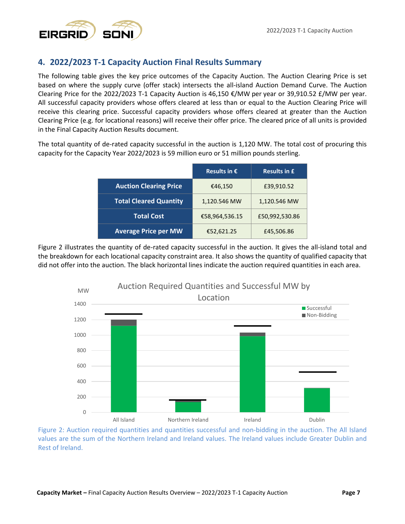

# **4. 2022/2023 T-1 Capacity Auction Final Results Summary**

The following table gives the key price outcomes of the Capacity Auction. The Auction Clearing Price is set based on where the supply curve (offer stack) intersects the all-island Auction Demand Curve. The Auction Clearing Price for the 2022/2023 T-1 Capacity Auction is 46,150  $\epsilon$ /MW per year or 39,910.52  $\epsilon$ /MW per year. All successful capacity providers whose offers cleared at less than or equal to the Auction Clearing Price will receive this clearing price. Successful capacity providers whose offers cleared at greater than the Auction Clearing Price (e.g. for locational reasons) will receive their offer price. The cleared price of all units is provided in the Final Capacity Auction Results document.

The total quantity of de-rated capacity successful in the auction is 1,120 MW. The total cost of procuring this capacity for the Capacity Year 2022/2023 is 59 million euro or 51 million pounds sterling.

|                               | Results in $\epsilon$ | <b>Results in £</b> |
|-------------------------------|-----------------------|---------------------|
| <b>Auction Clearing Price</b> | €46,150               | £39,910.52          |
| <b>Total Cleared Quantity</b> | 1,120.546 MW          | 1,120.546 MW        |
| <b>Total Cost</b>             | €58,964,536.15        | £50,992,530.86      |
| <b>Average Price per MW</b>   | €52,621.25            | £45,506.86          |

Figure 2 illustrates the quantity of de-rated capacity successful in the auction. It gives the all-island total and the breakdown for each locational capacity constraint area. It also shows the quantity of qualified capacity that did not offer into the auction. The black horizontal lines indicate the auction required quantities in each area.



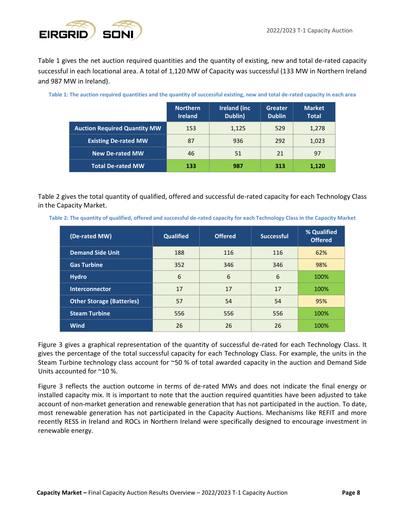

Table 1 gives the net auction required quantities and the quantity of existing, new and total de-rated capacity successful in each locational area. A total of 1,120 MW of Capacity was successful (133 MW in Northern Ireland and 987 MW in Ireland).

|                                     | <b>Northern</b><br><b>Ireland</b> | <b>Ireland (inc.</b><br>Dublin) | Greater<br><b>Dublin</b> | <b>Market</b><br><b>Total</b> |
|-------------------------------------|-----------------------------------|---------------------------------|--------------------------|-------------------------------|
| <b>Auction Required Quantity MW</b> | 153                               | 1,125                           | 529                      | 1,278                         |
| <b>Existing De-rated MW</b>         | 87                                | 936                             | 292                      | 1,023                         |
| <b>New De-rated MW</b>              | 46                                | 51                              | 21                       | 97                            |
| <b>Total De-rated MW</b>            | 133                               | 987                             | 313                      | 1,120                         |

Table 2 gives the total quantity of qualified, offered and successful de-rated capacity for each Technology Class in the Capacity Market.

**Table 2: The quantity of qualified, offered and successful de-rated capacity for each Technology Class in the Capacity Market**

| (De-rated MW)                    | <b>Qualified</b> | <b>Offered</b> | <b>Successful</b> | % Qualified<br><b>Offered</b> |  |
|----------------------------------|------------------|----------------|-------------------|-------------------------------|--|
| <b>Demand Side Unit</b>          | 188              | 116            | 116               | 62%                           |  |
| <b>Gas Turbine</b>               | 352              | 346            | 346               | 98%                           |  |
| <b>Hydro</b>                     | 6                | 6              | 6                 | 100%                          |  |
| <b>Interconnector</b>            | 17               | 17             | 17                | 100%                          |  |
| <b>Other Storage (Batteries)</b> | 57               | 54             | 54                | 95%                           |  |
| <b>Steam Turbine</b>             | 556              | 556            | 556               | 100%                          |  |
| <b>Wind</b>                      | 26               | 26             | 26                | 100%                          |  |

Figure 3 gives a graphical representation of the quantity of successful de-rated for each Technology Class. It gives the percentage of the total successful capacity for each Technology Class. For example, the units in the Steam Turbine technology class account for ~50 % of total awarded capacity in the auction and Demand Side Units accounted for ~10 %.

Figure 3 reflects the auction outcome in terms of de-rated MWs and does not indicate the final energy or installed capacity mix. It is important to note that the auction required quantities have been adjusted to take account of non-market generation and renewable generation that has not participated in the auction. To date, most renewable generation has not participated in the Capacity Auctions. Mechanisms like REFIT and more recently RESS in Ireland and ROCs in Northern Ireland were specifically designed to encourage investment in renewable energy.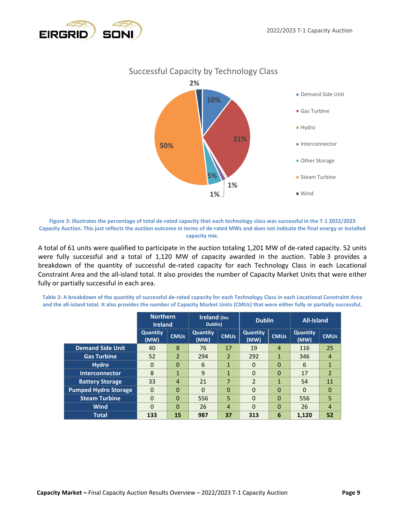



**Figure 3: Illustrates the percentage of total de-rated capacity that each technology class was successful in the T-1 2022/2023 Capacity Auction. This just reflects the auction outcome in terms of de-rated MWs and does not indicate the final energy or installed capacity mix.**

A total of 61 units were qualified to participate in the auction totaling 1,201 MW of de-rated capacity. 52 units were fully successful and a total of 1,120 MW of capacity awarded in the auction. Table 3 provides a breakdown of the quantity of successful de-rated capacity for each Technology Class in each Locational Constraint Area and the all-island total. It also provides the number of Capacity Market Units that were either fully or partially successful in each area.

**Table 3: A breakdown of the quantity of successful de-rated capacity for each Technology Class in each Locational Constraint Area and the all-island total. It also provides the number of Capacity Market Units (CMUs) that were either fully or partially successful.**

|                             | <b>Northern</b><br><b>Ireland</b> |                | <b>Ireland (Inc.</b><br>Dublin) |                | <b>Dublin</b>           |                | <b>All-Island</b>       |                |
|-----------------------------|-----------------------------------|----------------|---------------------------------|----------------|-------------------------|----------------|-------------------------|----------------|
|                             | <b>Quantity</b><br>(MW)           | <b>CMUs</b>    | <b>Quantity</b><br>(MW)         | <b>CMUs</b>    | <b>Quantity</b><br>(MW) | <b>CMUs</b>    | <b>Quantity</b><br>(MW) | <b>CMUs</b>    |
| <b>Demand Side Unit</b>     | 40                                | 8              | 76                              | 17             | 19                      | $\overline{4}$ | 116                     | 25             |
| <b>Gas Turbine</b>          | 52                                | 2              | 294                             | $\overline{2}$ | 292                     | 1              | 346                     | 4              |
| <b>Hydro</b>                | $\Omega$                          | $\Omega$       | 6                               | $\mathbf{1}$   | 0                       | 0              | 6                       | $\mathbf{1}$   |
| <b>Interconnector</b>       | 8                                 | $\mathbf{1}$   | 9                               | $\mathbf{1}$   | $\Omega$                | 0              | 17                      | $\overline{2}$ |
| <b>Battery Storage</b>      | 33                                | $\overline{4}$ | 21                              | 7              | $\mathfrak{p}$          | $\mathbf{1}$   | 54                      | 11             |
| <b>Pumped Hydro Storage</b> | $\Omega$                          | $\Omega$       | $\Omega$                        | $\Omega$       | 0                       | $\Omega$       | $\Omega$                | $\Omega$       |
| <b>Steam Turbine</b>        | $\Omega$                          | $\Omega$       | 556                             | 5              | 0                       | $\mathbf{0}$   | 556                     | 5              |
| Wind                        | $\Omega$                          | $\Omega$       | 26                              | $\overline{4}$ | 0                       | $\mathbf{0}$   | 26                      | $\overline{4}$ |
| <b>Total</b>                | 133                               | 15             | 987                             | 37             | 313                     | 6              | 1,120                   | 52             |